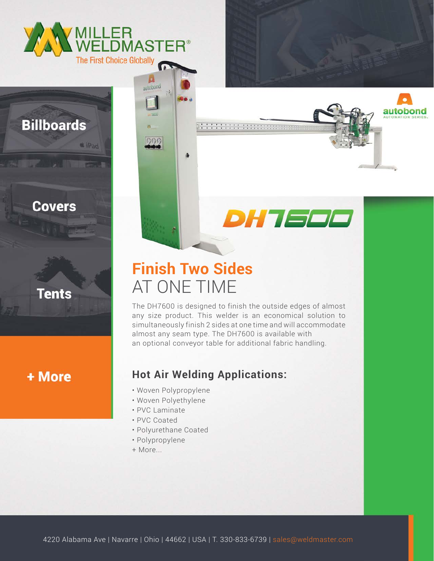

 $i$  iPad

autobono

000

## **Billboards**

#### **Covers**



+ More

# **Finish Two Sides** AT ONE TIME

ä.

The DH7600 is designed to finish the outside edges of almost any size product. This welder is an economical solution to simultaneously finish 2 sides at one time and will accommodate almost any seam type. The DH7600 is available with an optional conveyor table for additional fabric handling.

*DHTEEE* 

autobond

### **Hot Air Welding Applications:**

- Woven Polypropylene
- Woven Polyethylene
- PVC Laminate
- PVC Coated
- Polyurethane Coated
- Polypropylene
- + More...